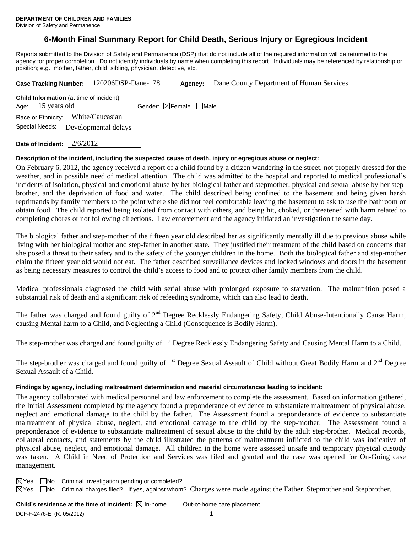## **6-Month Final Summary Report for Child Death, Serious Injury or Egregious Incident**

Reports submitted to the Division of Safety and Permanence (DSP) that do not include all of the required information will be returned to the agency for proper completion. Do not identify individuals by name when completing this report. Individuals may be referenced by relationship or position; e.g., mother, father, child, sibling, physician, detective, etc.

|                   | Case Tracking Number: 120206DSP-Dane-178       | Agency:                                | Dane County Department of Human Services |
|-------------------|------------------------------------------------|----------------------------------------|------------------------------------------|
| Age: 15 years old | <b>Child Information</b> (at time of incident) | Gender: $\boxtimes$ Female $\Box$ Male |                                          |
|                   | Race or Ethnicity: White/Caucasian             |                                        |                                          |
| Special Needs:    | Developmental delays                           |                                        |                                          |
|                   |                                                |                                        |                                          |

**Date of Incident:** 2/6/2012

#### **Description of the incident, including the suspected cause of death, injury or egregious abuse or neglect:**

On February 6, 2012, the agency received a report of a child found by a citizen wandering in the street, not properly dressed for the weather, and in possible need of medical attention. The child was admitted to the hospital and reported to medical professional's incidents of isolation, physical and emotional abuse by her biological father and stepmother, physical and sexual abuse by her stepbrother, and the deprivation of food and water. The child described being confined to the basement and being given harsh reprimands by family members to the point where she did not feel comfortable leaving the basement to ask to use the bathroom or obtain food. The child reported being isolated from contact with others, and being hit, choked, or threatened with harm related to completing chores or not following directions. Law enforcement and the agency initiated an investigation the same day.

The biological father and step-mother of the fifteen year old described her as significantly mentally ill due to previous abuse while living with her biological mother and step-father in another state. They justified their treatment of the child based on concerns that she posed a threat to their safety and to the safety of the younger children in the home. Both the biological father and step-mother claim the fifteen year old would not eat. The father described surveillance devices and locked windows and doors in the basement as being necessary measures to control the child's access to food and to protect other family members from the child.

Medical professionals diagnosed the child with serial abuse with prolonged exposure to starvation. The malnutrition posed a substantial risk of death and a significant risk of refeeding syndrome, which can also lead to death.

The father was charged and found guilty of 2<sup>nd</sup> Degree Recklessly Endangering Safety, Child Abuse-Intentionally Cause Harm, causing Mental harm to a Child, and Neglecting a Child (Consequence is Bodily Harm).

The step-mother was charged and found guilty of 1<sup>st</sup> Degree Recklessly Endangering Safety and Causing Mental Harm to a Child.

The step-brother was charged and found guilty of 1<sup>st</sup> Degree Sexual Assault of Child without Great Bodily Harm and 2<sup>nd</sup> Degree Sexual Assault of a Child.

#### **Findings by agency, including maltreatment determination and material circumstances leading to incident:**

The agency collaborated with medical personnel and law enforcement to complete the assessment. Based on information gathered, the Initial Assessment completed by the agency found a preponderance of evidence to substantiate maltreatment of physical abuse, neglect and emotional damage to the child by the father. The Assessment found a preponderance of evidence to substantiate maltreatment of physical abuse, neglect, and emotional damage to the child by the step-mother. The Assessment found a preponderance of evidence to substantiate maltreatment of sexual abuse to the child by the adult step-brother. Medical records, collateral contacts, and statements by the child illustrated the patterns of maltreatment inflicted to the child was indicative of physical abuse, neglect, and emotional damage. All children in the home were assessed unsafe and temporary physical custody was taken. A Child in Need of Protection and Services was filed and granted and the case was opened for On-Going case management.

 $\boxtimes$ Yes  $\Box$ No Criminal investigation pending or completed?

 $\boxtimes$  Yes  $\Box$ No Criminal charges filed? If yes, against whom? Charges were made against the Father, Stepmother and Stepbrother.

**Child's residence at the time of incident:**  $\boxtimes$  In-home  $\Box$  Out-of-home care placement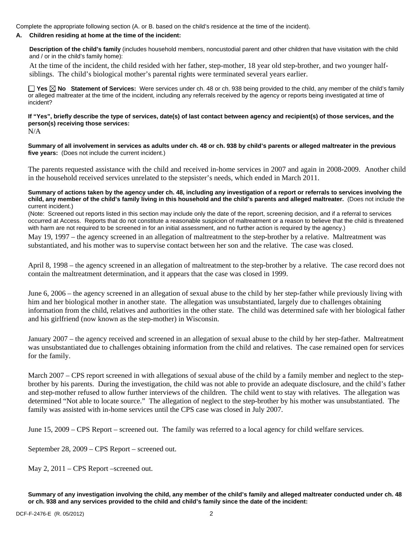Complete the appropriate following section (A. or B. based on the child's residence at the time of the incident).

#### **A. Children residing at home at the time of the incident:**

**Description of the child's family** (includes household members, noncustodial parent and other children that have visitation with the child and / or in the child's family home):

 At the time of the incident, the child resided with her father, step-mother, 18 year old step-brother, and two younger halfsiblings. The child's biological mother's parental rights were terminated several years earlier.

**Yes No Statement of Services:** Were services under ch. 48 or ch. 938 being provided to the child, any member of the child's family or alleged maltreater at the time of the incident, including any referrals received by the agency or reports being investigated at time of incident?

**If "Yes", briefly describe the type of services, date(s) of last contact between agency and recipient(s) of those services, and the person(s) receiving those services:**  N/A

**Summary of all involvement in services as adults under ch. 48 or ch. 938 by child's parents or alleged maltreater in the previous five years:** (Does not include the current incident.)

The parents requested assistance with the child and received in-home services in 2007 and again in 2008-2009. Another child in the household received services unrelated to the stepsister's needs, which ended in March 2011.

**Summary of actions taken by the agency under ch. 48, including any investigation of a report or referrals to services involving the child, any member of the child's family living in this household and the child's parents and alleged maltreater.** (Does not include the current incident.)

(Note: Screened out reports listed in this section may include only the date of the report, screening decision, and if a referral to services occurred at Access. Reports that do not constitute a reasonable suspicion of maltreatment or a reason to believe that the child is threatened with harm are not required to be screened in for an initial assessment, and no further action is required by the agency.)

May 19, 1997 – the agency screened in an allegation of maltreatment to the step-brother by a relative. Maltreatment was substantiated, and his mother was to supervise contact between her son and the relative. The case was closed.

April 8, 1998 – the agency screened in an allegation of maltreatment to the step-brother by a relative. The case record does not contain the maltreatment determination, and it appears that the case was closed in 1999.

June 6, 2006 – the agency screened in an allegation of sexual abuse to the child by her step-father while previously living with him and her biological mother in another state. The allegation was unsubstantiated, largely due to challenges obtaining information from the child, relatives and authorities in the other state. The child was determined safe with her biological father and his girlfriend (now known as the step-mother) in Wisconsin.

January 2007 – the agency received and screened in an allegation of sexual abuse to the child by her step-father. Maltreatment was unsubstantiated due to challenges obtaining information from the child and relatives. The case remained open for services for the family.

March 2007 – CPS report screened in with allegations of sexual abuse of the child by a family member and neglect to the stepbrother by his parents. During the investigation, the child was not able to provide an adequate disclosure, and the child's father and step-mother refused to allow further interviews of the children. The child went to stay with relatives. The allegation was determined "Not able to locate source." The allegation of neglect to the step-brother by his mother was unsubstantiated. The family was assisted with in-home services until the CPS case was closed in July 2007.

June 15, 2009 – CPS Report – screened out. The family was referred to a local agency for child welfare services.

September 28, 2009 – CPS Report – screened out.

May 2, 2011 – CPS Report –screened out.

**Summary of any investigation involving the child, any member of the child's family and alleged maltreater conducted under ch. 48 or ch. 938 and any services provided to the child and child's family since the date of the incident:**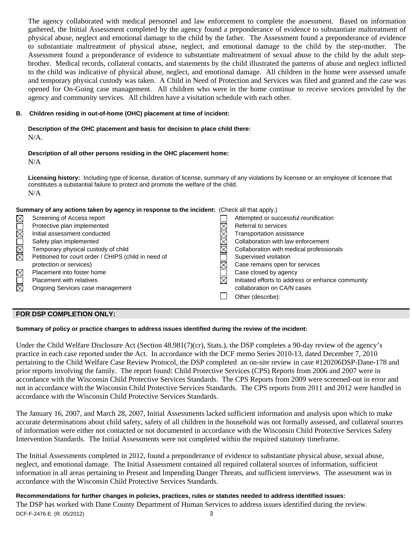The agency collaborated with medical personnel and law enforcement to complete the assessment. Based on information gathered, the Initial Assessment completed by the agency found a preponderance of evidence to substantiate maltreatment of physical abuse, neglect and emotional damage to the child by the father. The Assessment found a preponderance of evidence to substantiate maltreatment of physical abuse, neglect, and emotional damage to the child by the step-mother. The Assessment found a preponderance of evidence to substantiate maltreatment of sexual abuse to the child by the adult stepbrother. Medical records, collateral contacts, and statements by the child illustrated the patterns of abuse and neglect inflicted to the child was indicative of physical abuse, neglect, and emotional damage. All children in the home were assessed unsafe and temporary physical custody was taken. A Child in Need of Protection and Services was filed and granted and the case was opened for On-Going case management. All children who were in the home continue to receive services provided by the agency and community services. All children have a visitation schedule with each other.

### **B. Children residing in out-of-home (OHC) placement at time of incident:**

# **Description of the OHC placement and basis for decision to place child there:**

N/A.

## **Description of all other persons residing in the OHC placement home:**

N/A

**Licensing history:** Including type of license, duration of license, summary of any violations by licensee or an employee of licensee that constitutes a substantial failure to protect and promote the welfare of the child. N/A

## **Summary of any actions taken by agency in response to the incident:** (Check all that apply.)

| $\boxtimes$       | Screening of Access report                           |           | Attempted or successful reunification             |
|-------------------|------------------------------------------------------|-----------|---------------------------------------------------|
|                   | Protective plan implemented                          |           | Referral to services                              |
| $\bar{\boxtimes}$ | Initial assessment conducted                         |           | Transportation assistance                         |
|                   | Safety plan implemented                              |           | Collaboration with law enforcement                |
| <b>M</b>          | Temporary physical custody of child                  |           | Collaboration with medical professionals          |
|                   | Petitioned for court order / CHIPS (child in need of |           | Supervised visitation                             |
|                   | protection or services)                              |           | Case remains open for services                    |
| $\boxtimes$       | Placement into foster home                           |           | Case closed by agency                             |
|                   | <b>Placement with relatives</b>                      | $\bowtie$ | Initiated efforts to address or enhance community |
| $\boxtimes$       | Ongoing Services case management                     |           | collaboration on CA/N cases                       |
|                   |                                                      |           | Other (describe):                                 |
|                   |                                                      |           |                                                   |

## **FOR DSP COMPLETION ONLY:**

## **Summary of policy or practice changes to address issues identified during the review of the incident:**

Under the Child Welfare Disclosure Act (Section 48.981(7)(cr), Stats.), the DSP completes a 90-day review of the agency's practice in each case reported under the Act. In accordance with the DCF memo Series 2010-13, dated December 7, 2010 pertaining to the Child Welfare Case Review Protocol, the DSP completed an on-site review in case #120206DSP-Dane-178 and prior reports involving the family. The report found: Child Protective Services (CPS) Reports from 2006 and 2007 were in accordance with the Wisconsin Child Protective Services Standards. The CPS Reports from 2009 were screened-out in error and not in accordance with the Wisconsin Child Protective Services Standards. The CPS reports from 2011 and 2012 were handled in accordance with the Wisconsin Child Protective Services Standards.

The January 16, 2007, and March 28, 2007, Initial Assessments lacked sufficient information and analysis upon which to make accurate determinations about child safety, safety of all children in the household was not formally assessed, and collateral sources of information were either not contacted or not documented in accordance with the Wisconsin Child Protective Services Safety Intervention Standards. The Initial Assessments were not completed within the required statutory timeframe.

The Initial Assessments completed in 2012, found a preponderance of evidence to substantiate physical abuse, sexual abuse, neglect, and emotional damage. The Initial Assessment contained all required collateral sources of information, sufficient information in all areas pertaining to Present and Impending Danger Threats, and sufficient interviews. The assessment was in accordance with the Wisconsin Child Protective Services Standards.

# **Recommendations for further changes in policies, practices, rules or statutes needed to address identified issues:**

DCF-F-2476-E (R. 05/2012) 3 The DSP has worked with Dane County Department of Human Services to address issues identified during the review.